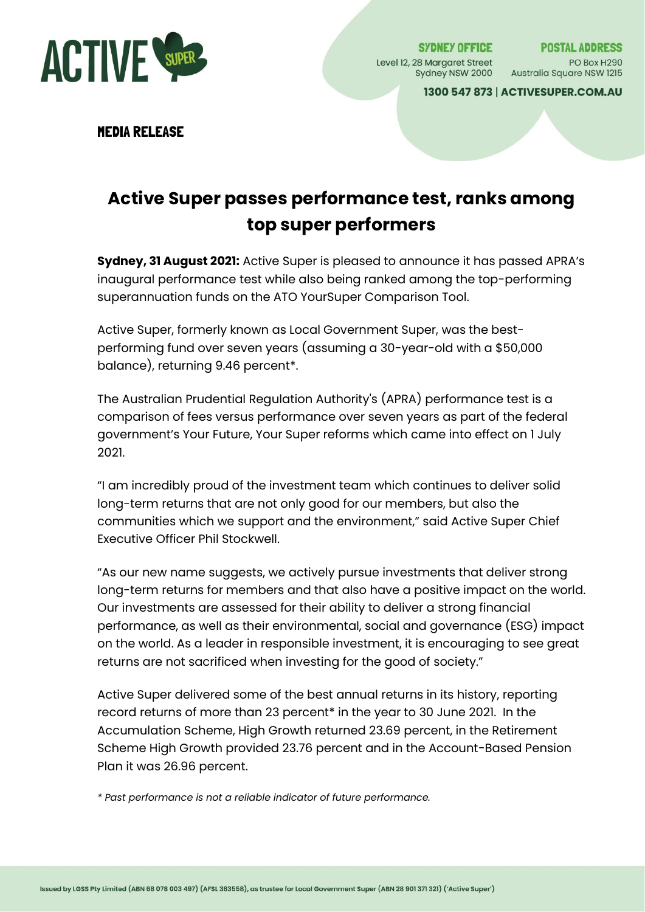

SYDNEY OFFICE Level 12, 28 Margaret Street PO Box H290<br>Sydney NSW 2000 Australia Square NSW 1215

**POSTAL ADDRESS** 

1300 547 873 | ACTIVESUPER.COM.AU

MEDIA RELEASE

# **Active Super passes performance test, ranks among top super performers**

**Sydney, 31 August 2021:** Active Super is pleased to announce it has passed APRA's inaugural performance test while also being ranked among the top-performing superannuation funds on the ATO YourSuper Comparison Tool.

Active Super, formerly known as Local Government Super, was the bestperforming fund over seven years (assuming a 30-year-old with a \$50,000 balance), returning 9.46 percent\*.

The Australian Prudential Regulation Authority's (APRA) performance test is a comparison of fees versus performance over seven years as part of the federal government's Your Future, Your Super reforms which came into effect on 1 July 2021.

"I am incredibly proud of the investment team which continues to deliver solid long-term returns that are not only good for our members, but also the communities which we support and the environment," said Active Super Chief Executive Officer Phil Stockwell.

"As our new name suggests, we actively pursue investments that deliver strong long-term returns for members and that also have a positive impact on the world. Our investments are assessed for their ability to deliver a strong financial performance, as well as their environmental, social and governance (ESG) impact on the world. As a leader in responsible investment, it is encouraging to see great returns are not sacrificed when investing for the good of society."

Active Super delivered some of the best annual returns in its history, reporting record returns of more than 23 percent\* in the year to 30 June 2021. In the Accumulation Scheme, High Growth returned 23.69 percent, in the Retirement Scheme High Growth provided 23.76 percent and in the Account-Based Pension Plan it was 26.96 percent.

*\* Past performance is not a reliable indicator of future performance.*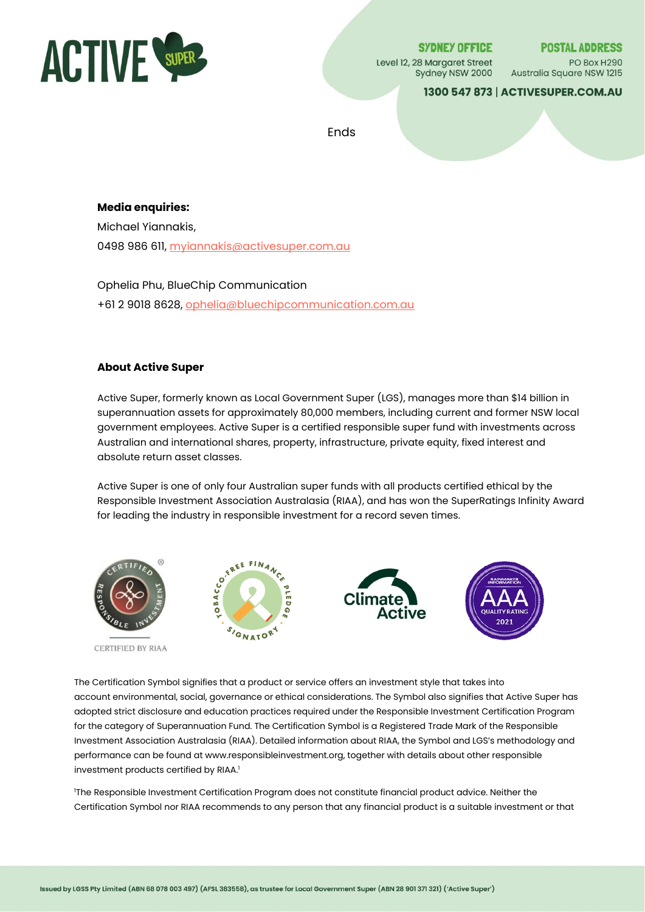

**SYDNEY OFFICE** Level 12, 28 Margaret Street Sydney NSW 2000 **POSTAL ADDRESS** 

PO Box H290 Australia Square NSW 1215

1300 547 873 | ACTIVESUPER.COM.AU

Ends

#### **Media enquiries:**

Michael Yiannakis, 0498 986 611[, myiannakis@activesuper.com.au](mailto:myiannakis@activesuper.com.au)

Ophelia Phu, BlueChip Communication +61 2 9018 8628, [ophelia@bluechipcommunication.com.au](mailto:ophelia@bluechipcommunication.com.au)

## **About Active Super**

Active Super, formerly known as Local Government Super (LGS), manages more than \$14 billion in superannuation assets for approximately 80,000 members, including current and former NSW local government employees. Active Super is a certified responsible super fund with investments across Australian and international shares, property, infrastructure, private equity, fixed interest and absolute return asset classes.

Active Super is one of only four Australian super funds with all products certified ethical by the Responsible Investment Association Australasia (RIAA), and has won the SuperRatings Infinity Award for leading the industry in responsible investment for a record seven times.



The Certification Symbol signifies that a product or service offers an investment style that takes into account environmental, social, governance or ethical considerations. The Symbol also signifies that Active Super has adopted strict disclosure and education practices required under the Responsible Investment Certification Program for the category of Superannuation Fund. The Certification Symbol is a Registered Trade Mark of the Responsible Investment Association Australasia (RIAA). Detailed information about RIAA, the Symbol and LGS's methodology and performance can be found at www.responsibleinvestment.org, together with details about other responsible investment products certified by RIAA.<sup>1</sup>

<sup>1</sup>The Responsible Investment Certification Program does not constitute financial product advice. Neither the Certification Symbol nor RIAA recommends to any person that any financial product is a suitable investment or that